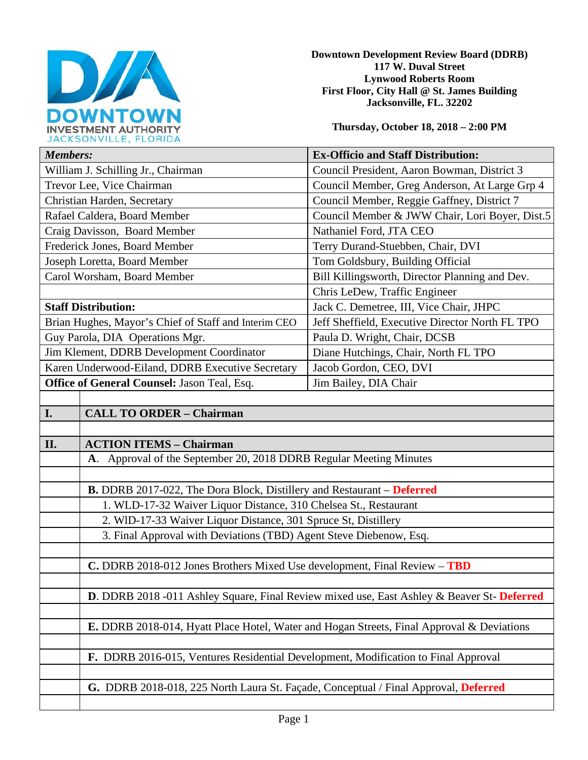

**Downtown Development Review Board (DDRB) 117 W. Duval Street Lynwood Roberts Room First Floor, City Hall @ St. James Building Jacksonville, FL. 32202** 

**Thursday, October 18, 2018 – 2:00 PM**

| JACRJUNVILLE, FLUNIDA                                |                                                                               |                                                                                           |  |
|------------------------------------------------------|-------------------------------------------------------------------------------|-------------------------------------------------------------------------------------------|--|
| <b>Members:</b>                                      |                                                                               | <b>Ex-Officio and Staff Distribution:</b>                                                 |  |
| William J. Schilling Jr., Chairman                   |                                                                               | Council President, Aaron Bowman, District 3                                               |  |
| Trevor Lee, Vice Chairman                            |                                                                               | Council Member, Greg Anderson, At Large Grp 4                                             |  |
| Christian Harden, Secretary                          |                                                                               | Council Member, Reggie Gaffney, District 7                                                |  |
| Rafael Caldera, Board Member                         |                                                                               | Council Member & JWW Chair, Lori Boyer, Dist.5                                            |  |
| Craig Davisson, Board Member                         |                                                                               | Nathaniel Ford, JTA CEO                                                                   |  |
| Frederick Jones, Board Member                        |                                                                               | Terry Durand-Stuebben, Chair, DVI                                                         |  |
| Joseph Loretta, Board Member                         |                                                                               | Tom Goldsbury, Building Official                                                          |  |
| Carol Worsham, Board Member                          |                                                                               | Bill Killingsworth, Director Planning and Dev.                                            |  |
|                                                      |                                                                               | Chris LeDew, Traffic Engineer                                                             |  |
| <b>Staff Distribution:</b>                           |                                                                               | Jack C. Demetree, III, Vice Chair, JHPC                                                   |  |
| Brian Hughes, Mayor's Chief of Staff and Interim CEO |                                                                               | Jeff Sheffield, Executive Director North FL TPO                                           |  |
| Guy Parola, DIA Operations Mgr.                      |                                                                               | Paula D. Wright, Chair, DCSB                                                              |  |
| Jim Klement, DDRB Development Coordinator            |                                                                               | Diane Hutchings, Chair, North FL TPO                                                      |  |
| Karen Underwood-Eiland, DDRB Executive Secretary     |                                                                               | Jacob Gordon, CEO, DVI                                                                    |  |
| Office of General Counsel: Jason Teal, Esq.          |                                                                               | Jim Bailey, DIA Chair                                                                     |  |
|                                                      |                                                                               |                                                                                           |  |
| I.                                                   | <b>CALL TO ORDER - Chairman</b>                                               |                                                                                           |  |
|                                                      |                                                                               |                                                                                           |  |
| II.                                                  | <b>ACTION ITEMS - Chairman</b>                                                |                                                                                           |  |
|                                                      | A. Approval of the September 20, 2018 DDRB Regular Meeting Minutes            |                                                                                           |  |
|                                                      |                                                                               |                                                                                           |  |
|                                                      | <b>B.</b> DDRB 2017-022, The Dora Block, Distillery and Restaurant – Deferred |                                                                                           |  |
|                                                      | 1. WLD-17-32 Waiver Liquor Distance, 310 Chelsea St., Restaurant              |                                                                                           |  |
|                                                      | 2. WID-17-33 Waiver Liquor Distance, 301 Spruce St, Distillery                |                                                                                           |  |
|                                                      | 3. Final Approval with Deviations (TBD) Agent Steve Diebenow, Esq.            |                                                                                           |  |
|                                                      |                                                                               |                                                                                           |  |
|                                                      | C. DDRB 2018-012 Jones Brothers Mixed Use development, Final Review - TBD     |                                                                                           |  |
|                                                      |                                                                               |                                                                                           |  |
|                                                      |                                                                               | D. DDRB 2018 -011 Ashley Square, Final Review mixed use, East Ashley & Beaver St-Deferred |  |
|                                                      |                                                                               |                                                                                           |  |

**E.** DDRB 2018-014, Hyatt Place Hotel, Water and Hogan Streets, Final Approval & Deviations

**F.** DDRB 2016-015, Ventures Residential Development, Modification to Final Approval

**G.** DDRB 2018-018, 225 North Laura St. Façade, Conceptual / Final Approval, **Deferred**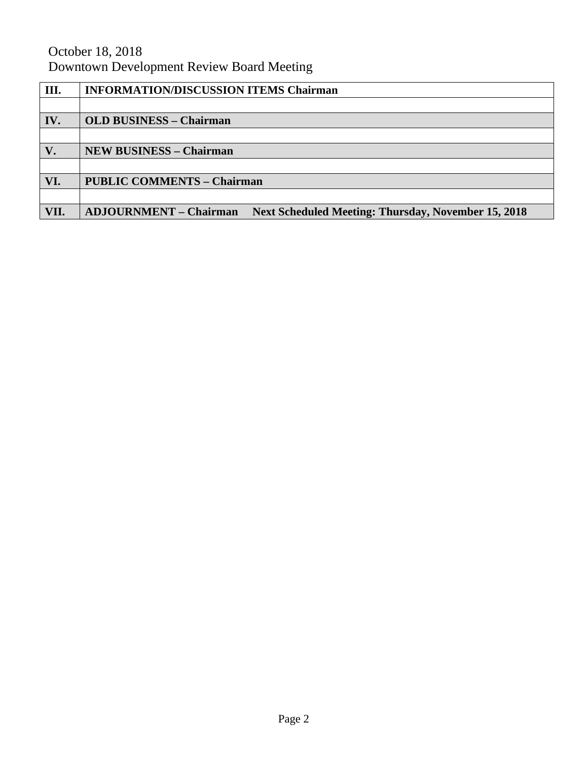# October 18, 2018 Downtown Development Review Board Meeting

| Ш.   | <b>INFORMATION/DISCUSSION ITEMS Chairman</b>                                                |  |
|------|---------------------------------------------------------------------------------------------|--|
|      |                                                                                             |  |
| IV.  | <b>OLD BUSINESS - Chairman</b>                                                              |  |
|      |                                                                                             |  |
| V.   | <b>NEW BUSINESS - Chairman</b>                                                              |  |
|      |                                                                                             |  |
| VI.  | <b>PUBLIC COMMENTS - Chairman</b>                                                           |  |
|      |                                                                                             |  |
| VII. | <b>ADJOURNMENT - Chairman</b><br><b>Next Scheduled Meeting: Thursday, November 15, 2018</b> |  |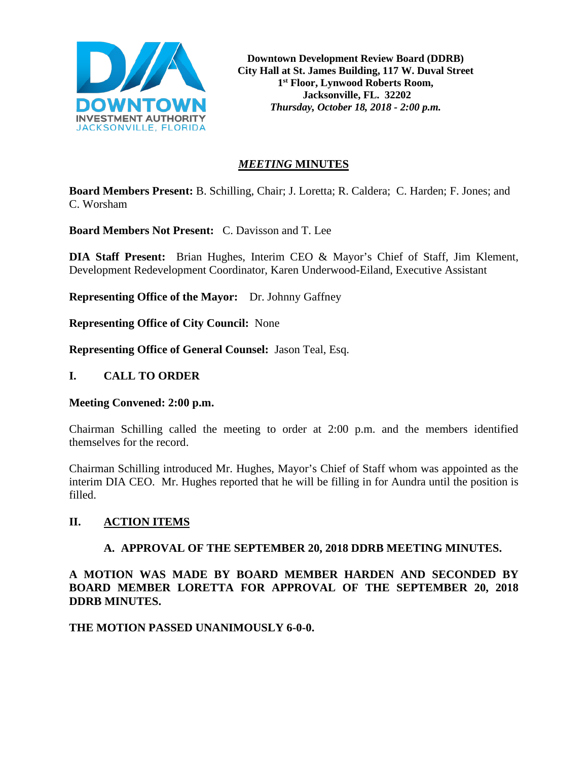

**Downtown Development Review Board (DDRB) City Hall at St. James Building, 117 W. Duval Street 1st Floor, Lynwood Roberts Room, Jacksonville, FL. 32202** *Thursday, October 18, 2018 - 2:00 p.m.*

## *MEETING* **MINUTES**

**Board Members Present:** B. Schilling, Chair; J. Loretta; R. Caldera; C. Harden; F. Jones; and C. Worsham

**Board Members Not Present:** C. Davisson and T. Lee

**DIA Staff Present:** Brian Hughes, Interim CEO & Mayor's Chief of Staff, Jim Klement, Development Redevelopment Coordinator, Karen Underwood-Eiland, Executive Assistant

**Representing Office of the Mayor:** Dr. Johnny Gaffney

**Representing Office of City Council:** None

**Representing Office of General Counsel:** Jason Teal, Esq.

#### **I. CALL TO ORDER**

#### **Meeting Convened: 2:00 p.m.**

Chairman Schilling called the meeting to order at 2:00 p.m. and the members identified themselves for the record.

Chairman Schilling introduced Mr. Hughes, Mayor's Chief of Staff whom was appointed as the interim DIA CEO. Mr. Hughes reported that he will be filling in for Aundra until the position is filled.

# **II. ACTION ITEMS**

#### **A. APPROVAL OF THE SEPTEMBER 20, 2018 DDRB MEETING MINUTES.**

**A MOTION WAS MADE BY BOARD MEMBER HARDEN AND SECONDED BY BOARD MEMBER LORETTA FOR APPROVAL OF THE SEPTEMBER 20, 2018 DDRB MINUTES.** 

**THE MOTION PASSED UNANIMOUSLY 6-0-0.**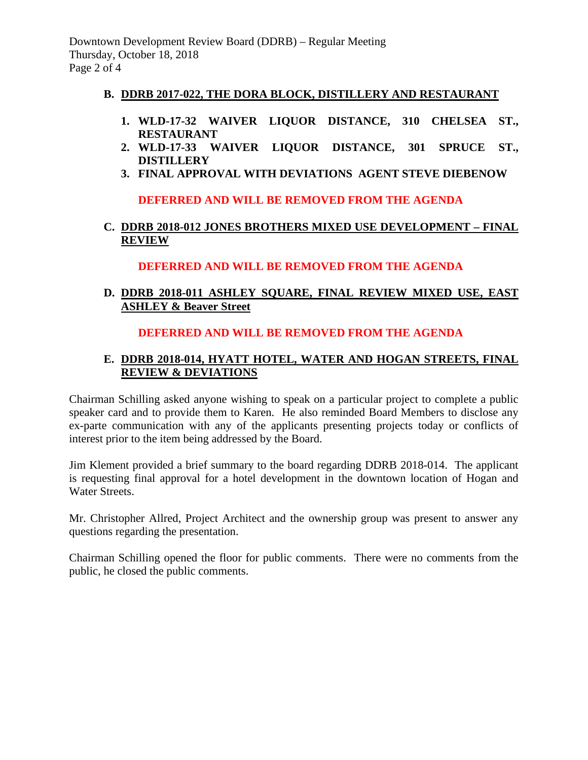# **B. DDRB 2017-022, THE DORA BLOCK, DISTILLERY AND RESTAURANT**

- **1. WLD-17-32 WAIVER LIQUOR DISTANCE, 310 CHELSEA ST., RESTAURANT**
- **2. WLD-17-33 WAIVER LIQUOR DISTANCE, 301 SPRUCE ST., DISTILLERY**
- **3. FINAL APPROVAL WITH DEVIATIONS AGENT STEVE DIEBENOW**

# **DEFERRED AND WILL BE REMOVED FROM THE AGENDA**

# **C. DDRB 2018-012 JONES BROTHERS MIXED USE DEVELOPMENT – FINAL REVIEW**

# **DEFERRED AND WILL BE REMOVED FROM THE AGENDA**

# **D. DDRB 2018-011 ASHLEY SQUARE, FINAL REVIEW MIXED USE, EAST ASHLEY & Beaver Street**

# **DEFERRED AND WILL BE REMOVED FROM THE AGENDA**

# **E. DDRB 2018-014, HYATT HOTEL, WATER AND HOGAN STREETS, FINAL REVIEW & DEVIATIONS**

Chairman Schilling asked anyone wishing to speak on a particular project to complete a public speaker card and to provide them to Karen. He also reminded Board Members to disclose any ex-parte communication with any of the applicants presenting projects today or conflicts of interest prior to the item being addressed by the Board.

Jim Klement provided a brief summary to the board regarding DDRB 2018-014. The applicant is requesting final approval for a hotel development in the downtown location of Hogan and Water Streets.

Mr. Christopher Allred, Project Architect and the ownership group was present to answer any questions regarding the presentation.

Chairman Schilling opened the floor for public comments. There were no comments from the public, he closed the public comments.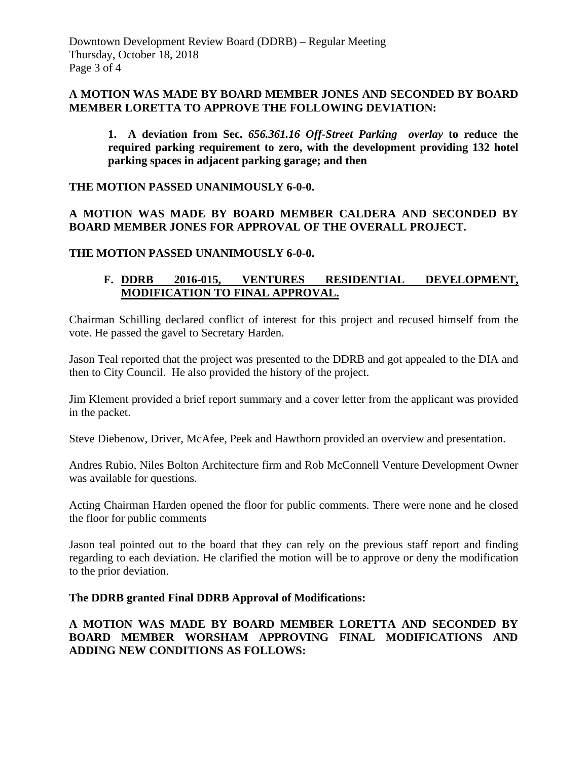## **A MOTION WAS MADE BY BOARD MEMBER JONES AND SECONDED BY BOARD MEMBER LORETTA TO APPROVE THE FOLLOWING DEVIATION:**

**1. A deviation from Sec.** *656.361.16 Off-Street Parking overlay* **to reduce the required parking requirement to zero, with the development providing 132 hotel parking spaces in adjacent parking garage; and then** 

**THE MOTION PASSED UNANIMOUSLY 6-0-0.**

# **A MOTION WAS MADE BY BOARD MEMBER CALDERA AND SECONDED BY BOARD MEMBER JONES FOR APPROVAL OF THE OVERALL PROJECT.**

**THE MOTION PASSED UNANIMOUSLY 6-0-0.** 

# **F. DDRB 2016-015, VENTURES RESIDENTIAL DEVELOPMENT, MODIFICATION TO FINAL APPROVAL.**

Chairman Schilling declared conflict of interest for this project and recused himself from the vote. He passed the gavel to Secretary Harden.

Jason Teal reported that the project was presented to the DDRB and got appealed to the DIA and then to City Council. He also provided the history of the project.

Jim Klement provided a brief report summary and a cover letter from the applicant was provided in the packet.

Steve Diebenow, Driver, McAfee, Peek and Hawthorn provided an overview and presentation.

Andres Rubio, Niles Bolton Architecture firm and Rob McConnell Venture Development Owner was available for questions.

Acting Chairman Harden opened the floor for public comments. There were none and he closed the floor for public comments

Jason teal pointed out to the board that they can rely on the previous staff report and finding regarding to each deviation. He clarified the motion will be to approve or deny the modification to the prior deviation.

# **The DDRB granted Final DDRB Approval of Modifications:**

# **A MOTION WAS MADE BY BOARD MEMBER LORETTA AND SECONDED BY BOARD MEMBER WORSHAM APPROVING FINAL MODIFICATIONS AND ADDING NEW CONDITIONS AS FOLLOWS:**